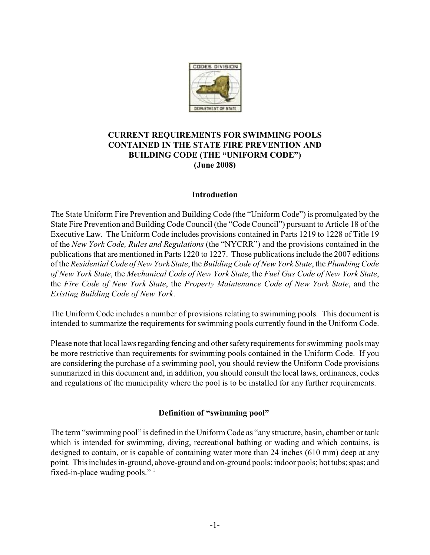

# **CURRENT REQUIREMENTS FOR SWIMMING POOLS CONTAINED IN THE STATE FIRE PREVENTION AND BUILDING CODE (THE "UNIFORM CODE") (June 2008)**

## **Introduction**

The State Uniform Fire Prevention and Building Code (the "Uniform Code") is promulgated by the State Fire Prevention and Building Code Council (the "Code Council") pursuant to Article 18 of the Executive Law. The Uniform Code includes provisions contained in Parts 1219 to 1228 of Title 19 of the *New York Code, Rules and Regulations* (the "NYCRR") and the provisions contained in the publications that are mentioned in Parts 1220 to 1227. Those publications include the 2007 editions of the *Residential Code of New York State*, the *BuildingCode of New York State*, the *Plumbing Code of New York State*, the *Mechanical Code of New York State*, the *Fuel Gas Code of New York State*, the *Fire Code of New York State*, the *Property Maintenance Code of New York State*, and the *Existing Building Code of New York*.

The Uniform Code includes a number of provisions relating to swimming pools. This document is intended to summarize the requirements for swimming pools currently found in the Uniform Code.

Please note that local laws regarding fencing and other safety requirements for swimming pools may be more restrictive than requirements for swimming pools contained in the Uniform Code. If you are considering the purchase of a swimming pool, you should review the Uniform Code provisions summarized in this document and, in addition, you should consult the local laws, ordinances, codes and regulations of the municipality where the pool is to be installed for any further requirements.

## **Definition of "swimming pool"**

The term "swimming pool" is defined in the Uniform Code as "any structure, basin, chamber or tank which is intended for swimming, diving, recreational bathing or wading and which contains, is designed to contain, or is capable of containing water more than 24 inches (610 mm) deep at any point. This includes in-ground, above-ground and on-ground pools; indoor pools; hot tubs; spas; and fixed-in-place wading pools."  $\frac{1}{1}$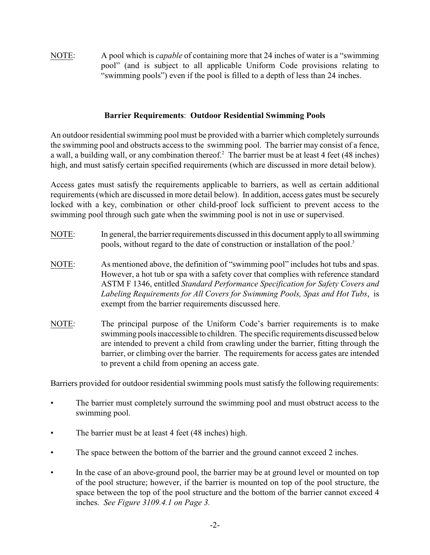NOTE: A pool which is *capable* of containing more that 24 inches of water is a "swimming pool" (and is subject to all applicable Uniform Code provisions relating to "swimming pools") even if the pool is filled to a depth of less than 24 inches.

## **Barrier Requirements**: **Outdoor Residential Swimming Pools**

An outdoor residential swimming pool must be provided with a barrier which completely surrounds the swimming pool and obstructs access to the swimming pool. The barrier may consist of a fence, a wall, a building wall, or any combination thereof.<sup>2</sup> The barrier must be at least 4 feet (48 inches) high, and must satisfy certain specified requirements (which are discussed in more detail below).

Access gates must satisfy the requirements applicable to barriers, as well as certain additional requirements (which are discussed in more detail below). In addition, access gates must be securely locked with a key, combination or other child-proof lock sufficient to prevent access to the swimming pool through such gate when the swimming pool is not in use or supervised.

- NOTE: In general, the barrier requirements discussed in this document apply to all swimming pools, without regard to the date of construction or installation of the pool.<sup>3</sup>
- NOTE: As mentioned above, the definition of "swimming pool" includes hot tubs and spas. However, a hot tub or spa with a safety cover that complies with reference standard ASTM F 1346, entitled *Standard Performance Specification for Safety Covers and Labeling Requirements for All Covers for Swimming Pools, Spas and Hot Tubs*, is exempt from the barrier requirements discussed here.
- NOTE: The principal purpose of the Uniform Code's barrier requirements is to make swimming pools inaccessible to children. The specific requirements discussed below are intended to prevent a child from crawling under the barrier, fitting through the barrier, or climbing over the barrier. The requirements for access gates are intended to prevent a child from opening an access gate.

Barriers provided for outdoor residential swimming pools must satisfy the following requirements:

- The barrier must completely surround the swimming pool and must obstruct access to the swimming pool.
- The barrier must be at least 4 feet (48 inches) high.
- The space between the bottom of the barrier and the ground cannot exceed 2 inches.
- In the case of an above-ground pool, the barrier may be at ground level or mounted on top of the pool structure; however, if the barrier is mounted on top of the pool structure, the space between the top of the pool structure and the bottom of the barrier cannot exceed 4 inches. *See Figure 3109.4.1 on Page 3.*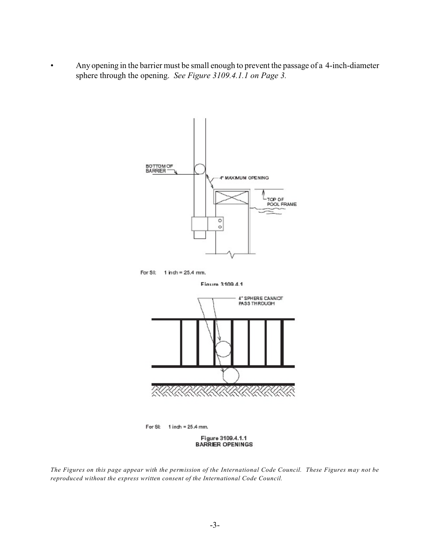• Any opening in the barrier must be small enough to prevent the passage of a 4-inch-diameter sphere through the opening. *See Figure 3109.4.1.1 on Page 3.*



*The Figures on this page appear with the permission of the International Code Council. These Figures may not be reproduced without the express written consent of the International Code Council.*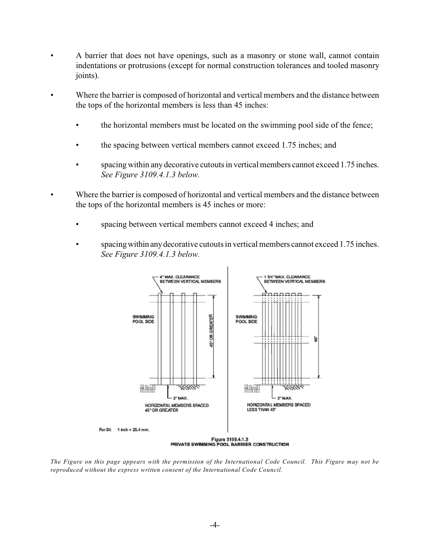- A barrier that does not have openings, such as a masonry or stone wall, cannot contain indentations or protrusions (except for normal construction tolerances and tooled masonry joints).
- Where the barrier is composed of horizontal and vertical members and the distance between the tops of the horizontal members is less than 45 inches:
	- the horizontal members must be located on the swimming pool side of the fence;
	- the spacing between vertical members cannot exceed 1.75 inches; and
	- spacing within any decorative cutouts in vertical members cannot exceed 1.75 inches. *See Figure 3109.4.1.3 below.*
- Where the barrier is composed of horizontal and vertical members and the distance between the tops of the horizontal members is 45 inches or more:
	- spacing between vertical members cannot exceed 4 inches; and
	- spacing within any decorative cutouts in vertical members cannot exceed 1.75 inches. *See Figure 3109.4.1.3 below.*



*The Figure on this page appears with the permission of the International Code Council. This Figure may not be reproduced without the express written consent of the International Code Council.*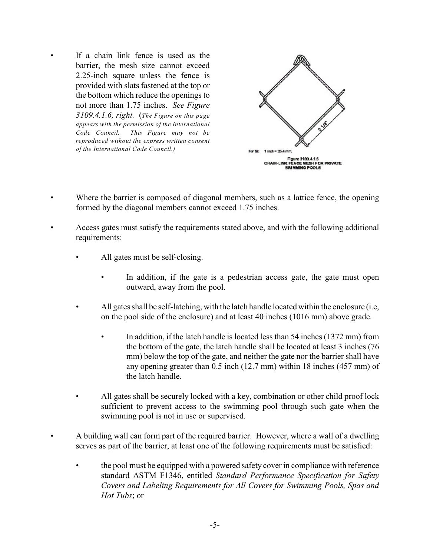If a chain link fence is used as the barrier, the mesh size cannot exceed 2.25-inch square unless the fence is provided with slats fastened at the top or the bottom which reduce the openings to not more than 1.75 inches. *See Figure 3109.4.1.6, right.* (*The Figure on this page appears with the permission of the International Code Council. This Figure may not be reproduced without the express written consent of the International Code Council.)* 



- Where the barrier is composed of diagonal members, such as a lattice fence, the opening formed by the diagonal members cannot exceed 1.75 inches.
- Access gates must satisfy the requirements stated above, and with the following additional requirements:
	- All gates must be self-closing.
		- In addition, if the gate is a pedestrian access gate, the gate must open outward, away from the pool.
	- All gates shall be self-latching, with the latch handle located within the enclosure (i.e, on the pool side of the enclosure) and at least 40 inches (1016 mm) above grade.
		- In addition, if the latch handle is located less than 54 inches (1372 mm) from the bottom of the gate, the latch handle shall be located at least 3 inches (76 mm) below the top of the gate, and neither the gate nor the barrier shall have any opening greater than 0.5 inch (12.7 mm) within 18 inches (457 mm) of the latch handle.
	- All gates shall be securely locked with a key, combination or other child proof lock sufficient to prevent access to the swimming pool through such gate when the swimming pool is not in use or supervised.
- A building wall can form part of the required barrier. However, where a wall of a dwelling serves as part of the barrier, at least one of the following requirements must be satisfied:
	- the pool must be equipped with a powered safety cover in compliance with reference standard ASTM F1346, entitled *Standard Performance Specification for Safety Covers and Labeling Requirements for All Covers for Swimming Pools, Spas and Hot Tubs*; or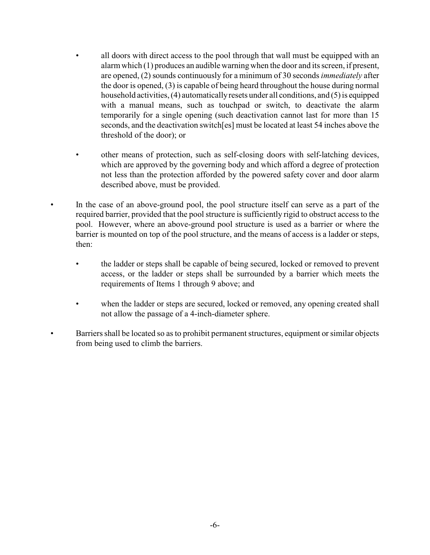- all doors with direct access to the pool through that wall must be equipped with an alarm which (1) produces an audible warning when the door and its screen, if present, are opened, (2) sounds continuously for a minimum of 30 seconds *immediately* after the door is opened, (3) is capable of being heard throughout the house during normal household activities, (4) automatically resets under all conditions, and (5) is equipped with a manual means, such as touchpad or switch, to deactivate the alarm temporarily for a single opening (such deactivation cannot last for more than 15 seconds, and the deactivation switch[es] must be located at least 54 inches above the threshold of the door); or
- other means of protection, such as self-closing doors with self-latching devices, which are approved by the governing body and which afford a degree of protection not less than the protection afforded by the powered safety cover and door alarm described above, must be provided.
- In the case of an above-ground pool, the pool structure itself can serve as a part of the required barrier, provided that the pool structure is sufficiently rigid to obstruct access to the pool. However, where an above-ground pool structure is used as a barrier or where the barrier is mounted on top of the pool structure, and the means of access is a ladder or steps, then:
	- the ladder or steps shall be capable of being secured, locked or removed to prevent access, or the ladder or steps shall be surrounded by a barrier which meets the requirements of Items 1 through 9 above; and
	- when the ladder or steps are secured, locked or removed, any opening created shall not allow the passage of a 4-inch-diameter sphere.
	- Barriers shall be located so as to prohibit permanent structures, equipment or similar objects from being used to climb the barriers.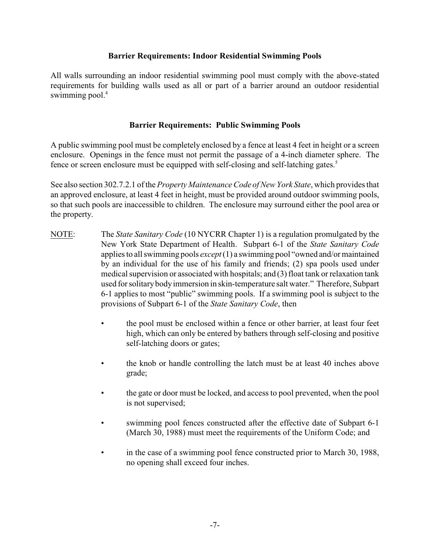## **Barrier Requirements: Indoor Residential Swimming Pools**

All walls surrounding an indoor residential swimming pool must comply with the above-stated requirements for building walls used as all or part of a barrier around an outdoor residential swimming pool.<sup>4</sup>

## **Barrier Requirements: Public Swimming Pools**

A public swimming pool must be completely enclosed by a fence at least 4 feet in height or a screen enclosure. Openings in the fence must not permit the passage of a 4-inch diameter sphere. The fence or screen enclosure must be equipped with self-closing and self-latching gates.<sup>5</sup>

See also section 302.7.2.1 of the *Property Maintenance Code of New York State*, which provides that an approved enclosure, at least 4 feet in height, must be provided around outdoor swimming pools, so that such pools are inaccessible to children. The enclosure may surround either the pool area or the property.

- NOTE: The *State Sanitary Code* (10 NYCRR Chapter 1) is a regulation promulgated by the New York State Department of Health. Subpart 6-1 of the *State Sanitary Code* applies to all swimming pools *except* (1) a swimming pool "owned and/or maintained by an individual for the use of his family and friends; (2) spa pools used under medical supervision or associated with hospitals; and (3) float tank or relaxation tank used for solitary body immersion in skin-temperature salt water." Therefore, Subpart 6-1 applies to most "public" swimming pools. If a swimming pool is subject to the provisions of Subpart 6-1 of the *State Sanitary Code*, then
	- the pool must be enclosed within a fence or other barrier, at least four feet high, which can only be entered by bathers through self-closing and positive self-latching doors or gates;
	- the knob or handle controlling the latch must be at least 40 inches above grade;
	- the gate or door must be locked, and access to pool prevented, when the pool is not supervised;
	- swimming pool fences constructed after the effective date of Subpart 6-1 (March 30, 1988) must meet the requirements of the Uniform Code; and
	- in the case of a swimming pool fence constructed prior to March 30, 1988, no opening shall exceed four inches.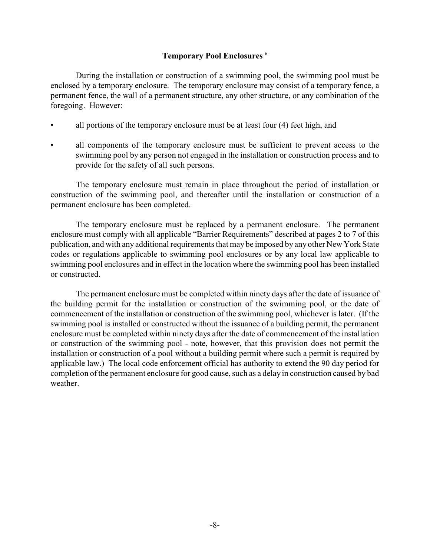## **Temporary Pool Enclosures** <sup>6</sup>

During the installation or construction of a swimming pool, the swimming pool must be enclosed by a temporary enclosure. The temporary enclosure may consist of a temporary fence, a permanent fence, the wall of a permanent structure, any other structure, or any combination of the foregoing. However:

- all portions of the temporary enclosure must be at least four (4) feet high, and
- all components of the temporary enclosure must be sufficient to prevent access to the swimming pool by any person not engaged in the installation or construction process and to provide for the safety of all such persons.

The temporary enclosure must remain in place throughout the period of installation or construction of the swimming pool, and thereafter until the installation or construction of a permanent enclosure has been completed.

The temporary enclosure must be replaced by a permanent enclosure. The permanent enclosure must comply with all applicable "Barrier Requirements" described at pages 2 to 7 of this publication, and with any additional requirements that may be imposed by any other New York State codes or regulations applicable to swimming pool enclosures or by any local law applicable to swimming pool enclosures and in effect in the location where the swimming pool has been installed or constructed.

The permanent enclosure must be completed within ninety days after the date of issuance of the building permit for the installation or construction of the swimming pool, or the date of commencement of the installation or construction of the swimming pool, whichever is later. (If the swimming pool is installed or constructed without the issuance of a building permit, the permanent enclosure must be completed within ninety days after the date of commencement of the installation or construction of the swimming pool - note, however, that this provision does not permit the installation or construction of a pool without a building permit where such a permit is required by applicable law.) The local code enforcement official has authority to extend the 90 day period for completion of the permanent enclosure for good cause, such as a delay in construction caused by bad weather.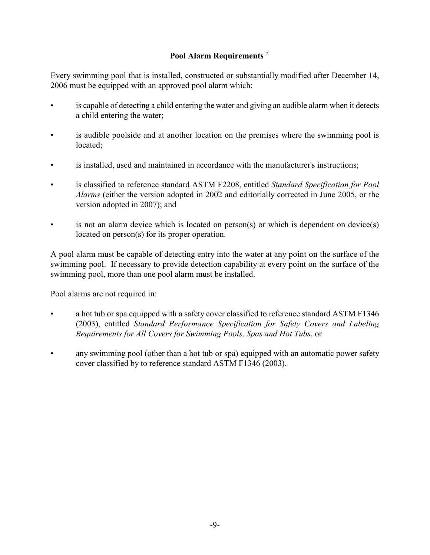# **Pool Alarm Requirements** <sup>7</sup>

Every swimming pool that is installed, constructed or substantially modified after December 14, 2006 must be equipped with an approved pool alarm which:

- is capable of detecting a child entering the water and giving an audible alarm when it detects a child entering the water;
- is audible poolside and at another location on the premises where the swimming pool is located;
- is installed, used and maintained in accordance with the manufacturer's instructions;
- is classified to reference standard ASTM F2208, entitled *Standard Specification for Pool Alarms* (either the version adopted in 2002 and editorially corrected in June 2005, or the version adopted in 2007); and
- is not an alarm device which is located on person(s) or which is dependent on device(s) located on person(s) for its proper operation.

A pool alarm must be capable of detecting entry into the water at any point on the surface of the swimming pool. If necessary to provide detection capability at every point on the surface of the swimming pool, more than one pool alarm must be installed.

Pool alarms are not required in:

- a hot tub or spa equipped with a safety cover classified to reference standard ASTM F1346 (2003), entitled *Standard Performance Specification for Safety Covers and Labeling Requirements for All Covers for Swimming Pools, Spas and Hot Tubs*, or
- any swimming pool (other than a hot tub or spa) equipped with an automatic power safety cover classified by to reference standard ASTM F1346 (2003).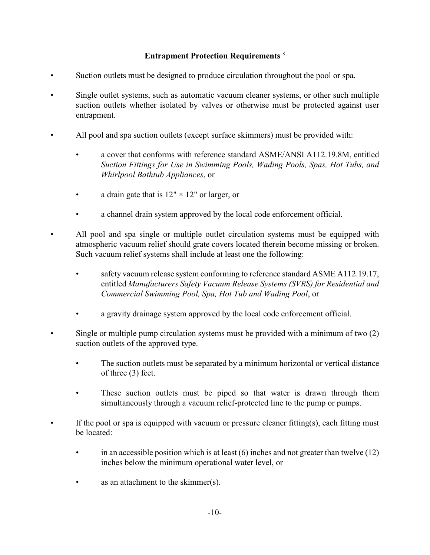# **Entrapment Protection Requirements** <sup>8</sup>

- Suction outlets must be designed to produce circulation throughout the pool or spa.
- Single outlet systems, such as automatic vacuum cleaner systems, or other such multiple suction outlets whether isolated by valves or otherwise must be protected against user entrapment.
- All pool and spa suction outlets (except surface skimmers) must be provided with:
	- a cover that conforms with reference standard ASME/ANSI A112.19.8M, entitled *Suction Fittings for Use in Swimming Pools, Wading Pools, Spas, Hot Tubs, and Whirlpool Bathtub Appliances*, or
	- a drain gate that is  $12" \times 12"$  or larger, or
	- a channel drain system approved by the local code enforcement official.
- All pool and spa single or multiple outlet circulation systems must be equipped with atmospheric vacuum relief should grate covers located therein become missing or broken. Such vacuum relief systems shall include at least one the following:
	- safety vacuum release system conforming to reference standard ASME A112.19.17, entitled *Manufacturers Safety Vacuum Release Systems (SVRS) for Residential and Commercial Swimming Pool, Spa, Hot Tub and Wading Pool*, or
	- a gravity drainage system approved by the local code enforcement official.
	- Single or multiple pump circulation systems must be provided with a minimum of two (2) suction outlets of the approved type.
		- The suction outlets must be separated by a minimum horizontal or vertical distance of three (3) feet.
		- These suction outlets must be piped so that water is drawn through them simultaneously through a vacuum relief-protected line to the pump or pumps.
	- If the pool or spa is equipped with vacuum or pressure cleaner fitting(s), each fitting must be located:
		- in an accessible position which is at least  $(6)$  inches and not greater than twelve  $(12)$ inches below the minimum operational water level, or
		- as an attachment to the skimmer(s).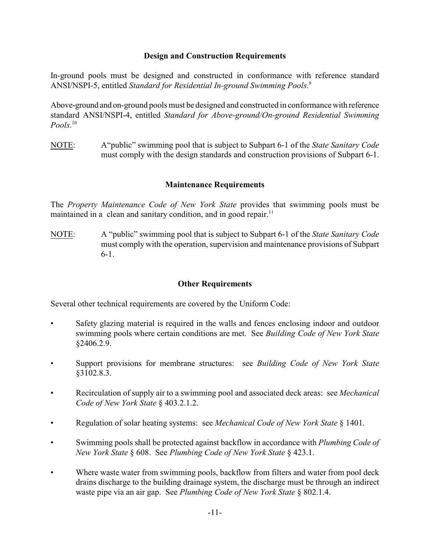## **Design and Construction Requirements**

In-ground pools must be designed and constructed in conformance with reference standard ANSI/NSPI-5, entitled *Standard for Residential In-ground Swimming Pools*. 9

Above-ground and on-ground pools must be designed and constructed in conformance with reference standard ANSI/NSPI-4, entitled *Standard for Above-ground/On-ground Residential Swimming Pools*. 10

NOTE: A"public" swimming pool that is subject to Subpart 6-1 of the *State Sanitary Code* must comply with the design standards and construction provisions of Subpart 6-1.

### **Maintenance Requirements**

The *Property Maintenance Code of New York State* provides that swimming pools must be maintained in a clean and sanitary condition, and in good repair.<sup>11</sup>

NOTE: A "public" swimming pool that is subject to Subpart 6-1 of the *State Sanitary Code* must comply with the operation, supervision and maintenance provisions of Subpart 6-1.

### **Other Requirements**

Several other technical requirements are covered by the Uniform Code:

- Safety glazing material is required in the walls and fences enclosing indoor and outdoor swimming pools where certain conditions are met. See *Building Code of New York State* §2406.2.9.
- Support provisions for membrane structures: see *Building Code of New York State* §3102.8.3.
- Recirculation of supply air to a swimming pool and associated deck areas: see *Mechanical Code of New York State* § 403.2.1.2.
- Regulation of solar heating systems: see *Mechanical Code of New York State* § 1401.
- Swimming pools shall be protected against backflow in accordance with *Plumbing Code of New York State* § 608. See *Plumbing Code of New York State* § 423.1.
- Where waste water from swimming pools, backflow from filters and water from pool deck drains discharge to the building drainage system, the discharge must be through an indirect waste pipe via an air gap. See *Plumbing Code of New York State* § 802.1.4.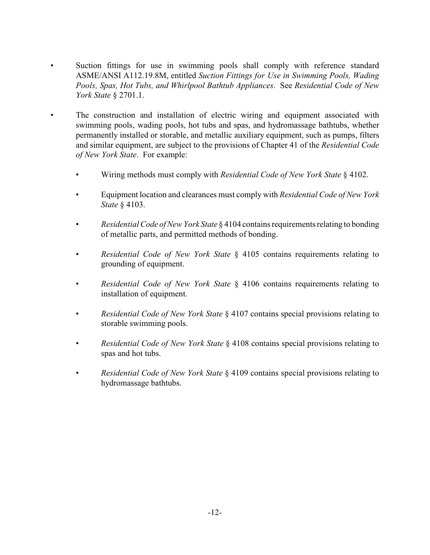- Suction fittings for use in swimming pools shall comply with reference standard ASME/ANSI A112.19.8M, entitled *Suction Fittings for Use in Swimming Pools, Wading Pools, Spas, Hot Tubs, and Whirlpool Bathtub Appliances*. See *Residential Code of New York State* § 2701.1.
- The construction and installation of electric wiring and equipment associated with swimming pools, wading pools, hot tubs and spas, and hydromassage bathtubs, whether permanently installed or storable, and metallic auxiliary equipment, such as pumps, filters and similar equipment, are subject to the provisions of Chapter 41 of the *Residential Code of New York State*. For example:
	- Wiring methods must comply with *Residential Code of New York State* § 4102.
	- Equipment location and clearances must comply with *Residential Code of New York State* § 4103.
	- *Residential Code of New York State* § 4104 contains requirements relating to bonding of metallic parts, and permitted methods of bonding.
	- *Residential Code of New York State* § 4105 contains requirements relating to grounding of equipment.
	- *Residential Code of New York State* § 4106 contains requirements relating to installation of equipment.
	- *Residential Code of New York State* § 4107 contains special provisions relating to storable swimming pools.
	- *Residential Code of New York State* § 4108 contains special provisions relating to spas and hot tubs.
	- *Residential Code of New York State* § 4109 contains special provisions relating to hydromassage bathtubs.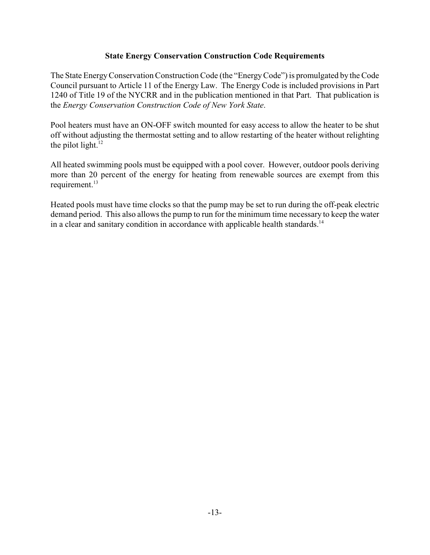## **State Energy Conservation Construction Code Requirements**

The State EnergyConservation Construction Code (the "EnergyCode") is promulgated by the Code Council pursuant to Article 11 of the Energy Law. The Energy Code is included provisions in Part 1240 of Title 19 of the NYCRR and in the publication mentioned in that Part. That publication is the *Energy Conservation Construction Code of New York State*.

Pool heaters must have an ON-OFF switch mounted for easy access to allow the heater to be shut off without adjusting the thermostat setting and to allow restarting of the heater without relighting the pilot light. $^{12}$ 

All heated swimming pools must be equipped with a pool cover. However, outdoor pools deriving more than 20 percent of the energy for heating from renewable sources are exempt from this requirement.<sup>13</sup>

Heated pools must have time clocks so that the pump may be set to run during the off-peak electric demand period. This also allows the pump to run for the minimum time necessary to keep the water in a clear and sanitary condition in accordance with applicable health standards.<sup>14</sup>